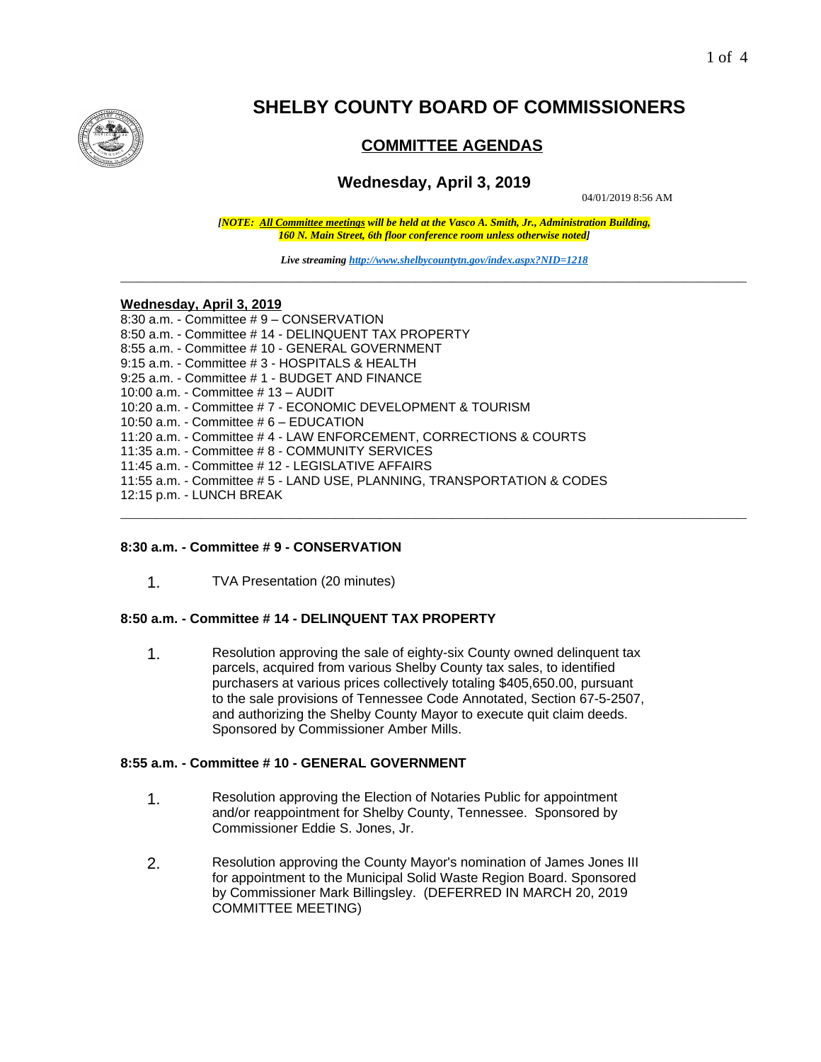

# **SHELBY COUNTY BOARD OF COMMISSIONERS**

# **COMMITTEE AGENDAS**

# **Wednesday, April 3, 2019**

04/01/2019 8:56 AM

*[NOTE: All Committee meetings will be held at the Vasco A. Smith, Jr., Administration Building, 160 N. Main Street, 6th floor conference room unless otherwise noted]*

*Live streaming<http://www.shelbycountytn.gov/index.aspx?NID=1218>* **\_\_\_\_\_\_\_\_\_\_\_\_\_\_\_\_\_\_\_\_\_\_\_\_\_\_\_\_\_\_\_\_\_\_\_\_\_\_\_\_\_\_\_\_\_\_\_\_\_\_\_\_\_\_\_\_\_\_\_\_\_\_\_\_\_\_\_\_\_\_**

#### **Wednesday, April 3, 2019**

| 8:30 a.m. - Committee # 9 - CONSERVATION                                |
|-------------------------------------------------------------------------|
| 8:50 a.m. - Committee # 14 - DELINQUENT TAX PROPERTY                    |
| 8:55 a.m. - Committee # 10 - GENERAL GOVERNMENT                         |
| 9:15 a.m. - Committee # 3 - HOSPITALS & HEALTH                          |
| 9:25 a.m. - Committee # 1 - BUDGET AND FINANCE                          |
| 10:00 a.m. - Committee # 13 - AUDIT                                     |
| 10:20 a.m. - Committee # 7 - ECONOMIC DEVELOPMENT & TOURISM             |
| 10:50 a.m. - Committee # 6 – EDUCATION                                  |
| 11:20 a.m. - Committee # 4 - LAW ENFORCEMENT, CORRECTIONS & COURTS      |
| 11:35 a.m. - Committee # 8 - COMMUNITY SERVICES                         |
| 11:45 a.m. - Committee # 12 - LEGISLATIVE AFFAIRS                       |
| 11:55 a.m. - Committee # 5 - LAND USE, PLANNING, TRANSPORTATION & CODES |
| 12:15 p.m. - LUNCH BREAK                                                |
|                                                                         |

#### **8:30 a.m. - Committee # 9 - CONSERVATION**

1. TVA Presentation (20 minutes)

#### **8:50 a.m. - Committee # 14 - DELINQUENT TAX PROPERTY**

1. Resolution approving the sale of eighty-six County owned delinquent tax parcels, acquired from various Shelby County tax sales, to identified purchasers at various prices collectively totaling \$405,650.00, pursuant to the sale provisions of Tennessee Code Annotated, Section 67-5-2507, and authorizing the Shelby County Mayor to execute quit claim deeds. Sponsored by Commissioner Amber Mills.

#### **8:55 a.m. - Committee # 10 - GENERAL GOVERNMENT**

- 1. Resolution approving the Election of Notaries Public for appointment and/or reappointment for Shelby County, Tennessee. Sponsored by Commissioner Eddie S. Jones, Jr.
- 2. Resolution approving the County Mayor's nomination of James Jones III for appointment to the Municipal Solid Waste Region Board. Sponsored by Commissioner Mark Billingsley. (DEFERRED IN MARCH 20, 2019 COMMITTEE MEETING)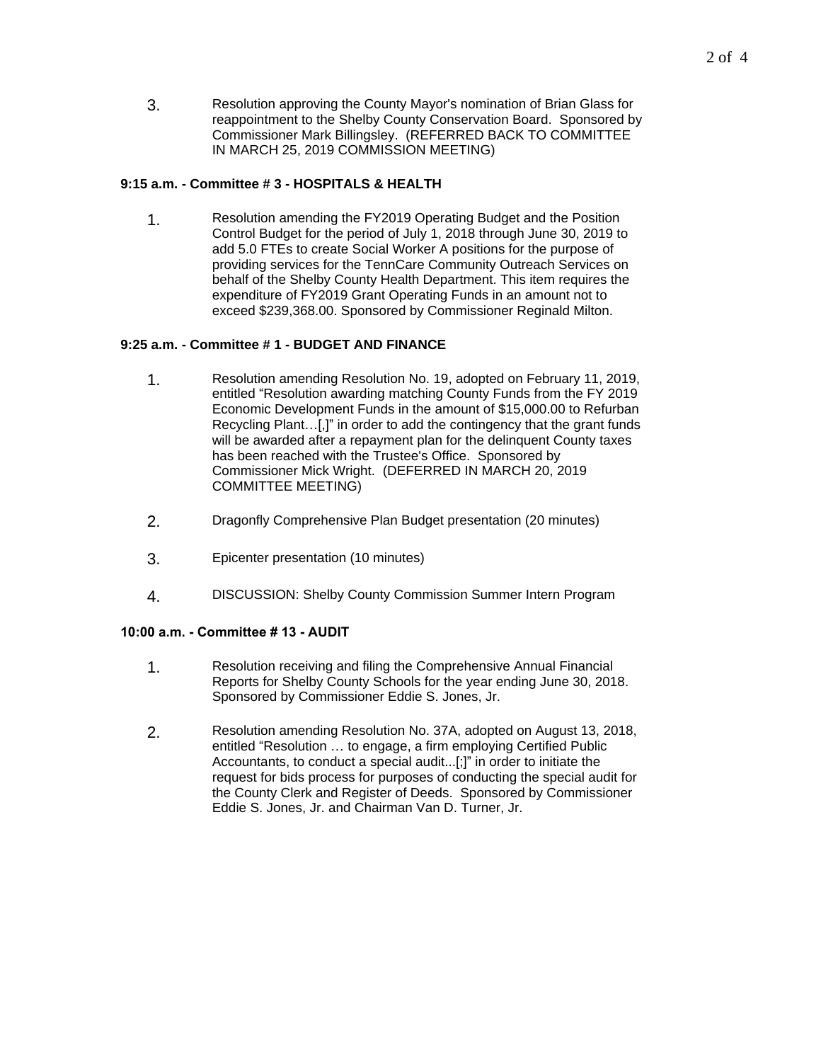3. Resolution approving the County Mayor's nomination of Brian Glass for reappointment to the Shelby County Conservation Board. Sponsored by Commissioner Mark Billingsley. (REFERRED BACK TO COMMITTEE IN MARCH 25, 2019 COMMISSION MEETING)

## **9:15 a.m. - Committee # 3 - HOSPITALS & HEALTH**

1. Resolution amending the FY2019 Operating Budget and the Position Control Budget for the period of July 1, 2018 through June 30, 2019 to add 5.0 FTEs to create Social Worker A positions for the purpose of providing services for the TennCare Community Outreach Services on behalf of the Shelby County Health Department. This item requires the expenditure of FY2019 Grant Operating Funds in an amount not to exceed \$239,368.00. Sponsored by Commissioner Reginald Milton.

#### **9:25 a.m. - Committee # 1 - BUDGET AND FINANCE**

- 1. Resolution amending Resolution No. 19, adopted on February 11, 2019, entitled "Resolution awarding matching County Funds from the FY 2019 Economic Development Funds in the amount of \$15,000.00 to Refurban Recycling Plant…[,]" in order to add the contingency that the grant funds will be awarded after a repayment plan for the delinquent County taxes has been reached with the Trustee's Office. Sponsored by Commissioner Mick Wright. (DEFERRED IN MARCH 20, 2019 COMMITTEE MEETING)
- 2. Dragonfly Comprehensive Plan Budget presentation (20 minutes)
- 3. Epicenter presentation (10 minutes)
- 4. DISCUSSION: Shelby County Commission Summer Intern Program

# **10:00 a.m. - Committee # 13 - AUDIT**

- 1. Resolution receiving and filing the Comprehensive Annual Financial Reports for Shelby County Schools for the year ending June 30, 2018. Sponsored by Commissioner Eddie S. Jones, Jr.
- 2. Resolution amending Resolution No. 37A, adopted on August 13, 2018, entitled "Resolution … to engage, a firm employing Certified Public Accountants, to conduct a special audit...[;]" in order to initiate the request for bids process for purposes of conducting the special audit for the County Clerk and Register of Deeds. Sponsored by Commissioner Eddie S. Jones, Jr. and Chairman Van D. Turner, Jr.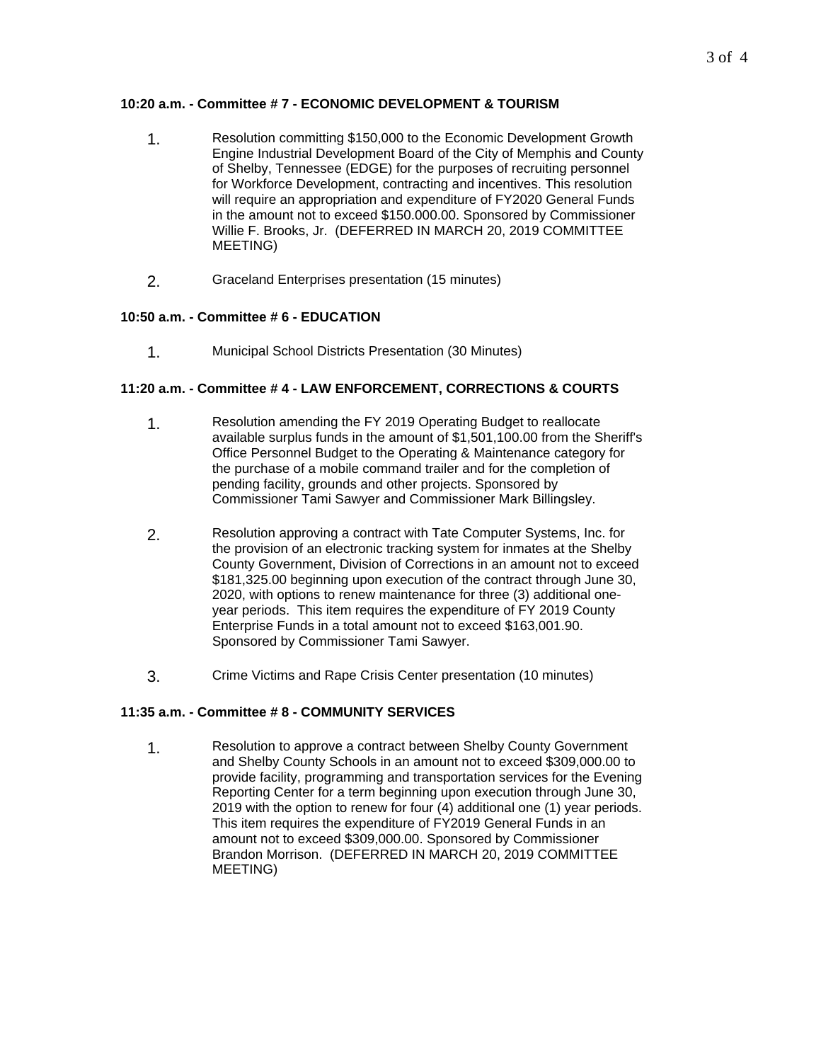# **10:20 a.m. - Committee # 7 - ECONOMIC DEVELOPMENT & TOURISM**

- 1. Resolution committing \$150,000 to the Economic Development Growth Engine Industrial Development Board of the City of Memphis and County of Shelby, Tennessee (EDGE) for the purposes of recruiting personnel for Workforce Development, contracting and incentives. This resolution will require an appropriation and expenditure of FY2020 General Funds in the amount not to exceed \$150.000.00. Sponsored by Commissioner Willie F. Brooks, Jr. (DEFERRED IN MARCH 20, 2019 COMMITTEE MEETING)
- 2. Graceland Enterprises presentation (15 minutes)

# **10:50 a.m. - Committee # 6 - EDUCATION**

1. Municipal School Districts Presentation (30 Minutes)

# **11:20 a.m. - Committee # 4 - LAW ENFORCEMENT, CORRECTIONS & COURTS**

- 1. Resolution amending the FY 2019 Operating Budget to reallocate available surplus funds in the amount of \$1,501,100.00 from the Sheriff's Office Personnel Budget to the Operating & Maintenance category for the purchase of a mobile command trailer and for the completion of pending facility, grounds and other projects. Sponsored by Commissioner Tami Sawyer and Commissioner Mark Billingsley.
- 2. Resolution approving a contract with Tate Computer Systems, Inc. for the provision of an electronic tracking system for inmates at the Shelby County Government, Division of Corrections in an amount not to exceed \$181,325.00 beginning upon execution of the contract through June 30, 2020, with options to renew maintenance for three (3) additional oneyear periods. This item requires the expenditure of FY 2019 County Enterprise Funds in a total amount not to exceed \$163,001.90. Sponsored by Commissioner Tami Sawyer.
- 3. Crime Victims and Rape Crisis Center presentation (10 minutes)

# **11:35 a.m. - Committee # 8 - COMMUNITY SERVICES**

1. Resolution to approve a contract between Shelby County Government and Shelby County Schools in an amount not to exceed \$309,000.00 to provide facility, programming and transportation services for the Evening Reporting Center for a term beginning upon execution through June 30, 2019 with the option to renew for four (4) additional one (1) year periods. This item requires the expenditure of FY2019 General Funds in an amount not to exceed \$309,000.00. Sponsored by Commissioner Brandon Morrison. (DEFERRED IN MARCH 20, 2019 COMMITTEE MEETING)